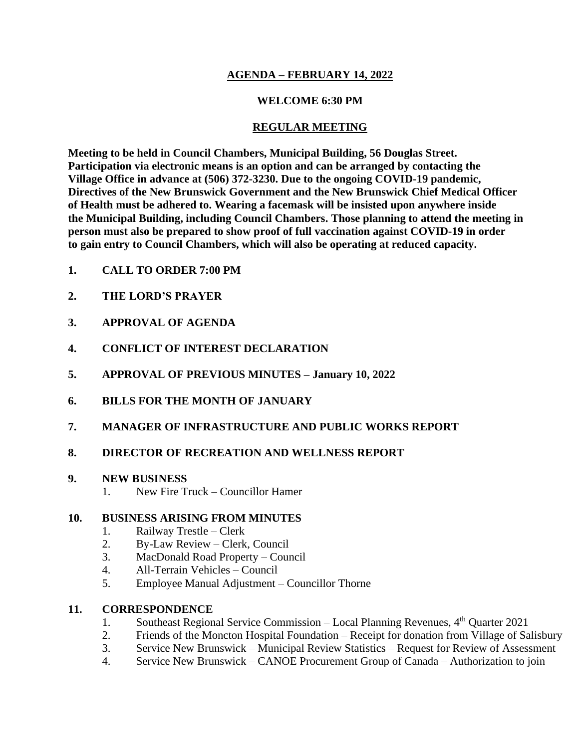# **AGENDA – FEBRUARY 14, 2022**

### **WELCOME 6:30 PM**

### **REGULAR MEETING**

**Meeting to be held in Council Chambers, Municipal Building, 56 Douglas Street. Participation via electronic means is an option and can be arranged by contacting the Village Office in advance at (506) 372-3230. Due to the ongoing COVID-19 pandemic, Directives of the New Brunswick Government and the New Brunswick Chief Medical Officer of Health must be adhered to. Wearing a facemask will be insisted upon anywhere inside the Municipal Building, including Council Chambers. Those planning to attend the meeting in person must also be prepared to show proof of full vaccination against COVID-19 in order to gain entry to Council Chambers, which will also be operating at reduced capacity.**

- **1. CALL TO ORDER 7:00 PM**
- **2. THE LORD'S PRAYER**
- **3. APPROVAL OF AGENDA**
- **4. CONFLICT OF INTEREST DECLARATION**
- **5. APPROVAL OF PREVIOUS MINUTES – January 10, 2022**
- **6. BILLS FOR THE MONTH OF JANUARY**
- **7. MANAGER OF INFRASTRUCTURE AND PUBLIC WORKS REPORT**

# **8. DIRECTOR OF RECREATION AND WELLNESS REPORT**

#### **9. NEW BUSINESS**

1. New Fire Truck – Councillor Hamer

#### **10. BUSINESS ARISING FROM MINUTES**

- 1. Railway Trestle Clerk
- 2. By-Law Review Clerk, Council
- 3. MacDonald Road Property Council
- 4. All-Terrain Vehicles Council
- 5. Employee Manual Adjustment Councillor Thorne

# **11. CORRESPONDENCE**

- 1. Southeast Regional Service Commission Local Planning Revenues,  $4<sup>th</sup>$  Quarter 2021
- 2. Friends of the Moncton Hospital Foundation Receipt for donation from Village of Salisbury
- 3. Service New Brunswick Municipal Review Statistics Request for Review of Assessment
- 4. Service New Brunswick CANOE Procurement Group of Canada Authorization to join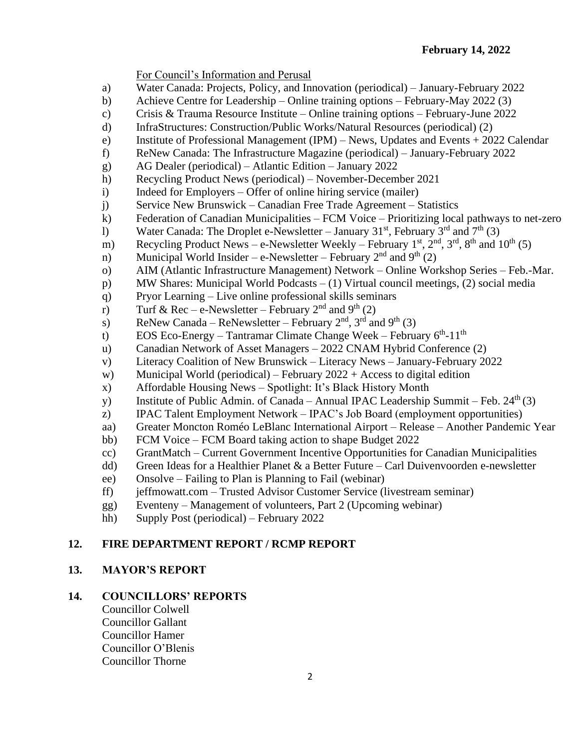For Council's Information and Perusal

- a) Water Canada: Projects, Policy, and Innovation (periodical) January-February 2022
- b) Achieve Centre for Leadership Online training options February-May 2022 (3)
- c) Crisis & Trauma Resource Institute Online training options February-June 2022
- d) InfraStructures: Construction/Public Works/Natural Resources (periodical) (2)
- e) Institute of Professional Management (IPM) News, Updates and Events + 2022 Calendar
- f) ReNew Canada: The Infrastructure Magazine (periodical) January-February 2022
- g) AG Dealer (periodical) Atlantic Edition January 2022
- h) Recycling Product News (periodical) November-December 2021
- i) Indeed for Employers Offer of online hiring service (mailer)
- j) Service New Brunswick Canadian Free Trade Agreement Statistics
- k) Federation of Canadian Municipalities FCM Voice Prioritizing local pathways to net-zero
- 1) Water Canada: The Droplet e-Newsletter January 31<sup>st</sup>, February  $3^{rd}$  and  $7^{th}$  (3)
- m) Recycling Product News e-Newsletter Weekly February  $1<sup>st</sup>$ ,  $2<sup>nd</sup>$ ,  $3<sup>rd</sup>$ ,  $8<sup>th</sup>$  and  $10<sup>th</sup>$  (5)
- n) Municipal World Insider e-Newsletter February  $2<sup>nd</sup>$  and  $9<sup>th</sup>$  (2)
- o) AIM (Atlantic Infrastructure Management) Network Online Workshop Series Feb.-Mar.
- p) MW Shares: Municipal World Podcasts (1) Virtual council meetings, (2) social media
- q) Pryor Learning Live online professional skills seminars
- r) Turf & Rec e-Newsletter February  $2<sup>nd</sup>$  and  $9<sup>th</sup>$  (2)
- s) ReNew Canada ReNewsletter February  $2<sup>nd</sup>$ ,  $3<sup>rd</sup>$  and  $9<sup>th</sup>$  (3)
- t) EOS Eco-Energy Tantramar Climate Change Week February  $6<sup>th</sup>$ -11<sup>th</sup>
- u) Canadian Network of Asset Managers 2022 CNAM Hybrid Conference (2)
- v) Literacy Coalition of New Brunswick Literacy News January-February 2022
- w) Municipal World (periodical) February  $2022 +$  Access to digital edition
- x) Affordable Housing News Spotlight: It's Black History Month
- y) Institute of Public Admin. of Canada Annual IPAC Leadership Summit Feb.  $24<sup>th</sup>(3)$
- z) IPAC Talent Employment Network IPAC's Job Board (employment opportunities)
- aa) Greater Moncton Roméo LeBlanc International Airport Release Another Pandemic Year
- bb) FCM Voice FCM Board taking action to shape Budget 2022
- cc) GrantMatch Current Government Incentive Opportunities for Canadian Municipalities
- dd) Green Ideas for a Healthier Planet & a Better Future Carl Duivenvoorden e-newsletter
- ee) Onsolve Failing to Plan is Planning to Fail (webinar)
- ff) jeffmowatt.com Trusted Advisor Customer Service (livestream seminar)
- gg) Eventeny Management of volunteers, Part 2 (Upcoming webinar)
- hh) Supply Post (periodical) February 2022

# **12. FIRE DEPARTMENT REPORT / RCMP REPORT**

#### **13. MAYOR'S REPORT**

# **14. COUNCILLORS' REPORTS**

Councillor Colwell Councillor Gallant Councillor Hamer Councillor O'Blenis Councillor Thorne